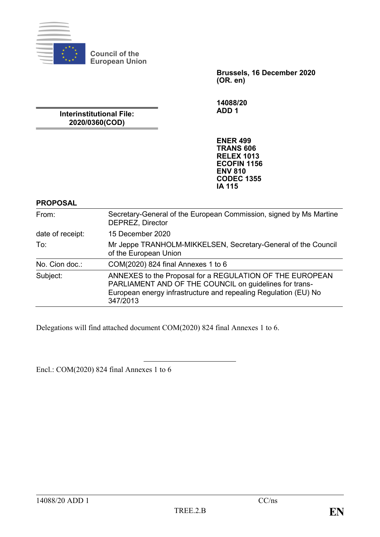

**Council of the European Union**

> **Brussels, 16 December 2020 (OR. en)**

**14088/20 ADD 1**

**Interinstitutional File: 2020/0360(COD)**

> **ENER 499 TRANS 606 RELEX 1013 ECOFIN 1156 ENV 810 CODEC 1355 IA 115**

#### **PROPOSAL**

| From:            | Secretary-General of the European Commission, signed by Ms Martine<br>DEPREZ, Director                                                                                                            |  |
|------------------|---------------------------------------------------------------------------------------------------------------------------------------------------------------------------------------------------|--|
| date of receipt: | 15 December 2020                                                                                                                                                                                  |  |
| To:              | Mr Jeppe TRANHOLM-MIKKELSEN, Secretary-General of the Council<br>of the European Union                                                                                                            |  |
| No. Cion doc.:   | COM(2020) 824 final Annexes 1 to 6                                                                                                                                                                |  |
| Subject:         | ANNEXES to the Proposal for a REGULATION OF THE EUROPEAN<br>PARLIAMENT AND OF THE COUNCIL on guidelines for trans-<br>European energy infrastructure and repealing Regulation (EU) No<br>347/2013 |  |

Delegations will find attached document COM(2020) 824 final Annexes 1 to 6.

Encl.: COM(2020) 824 final Annexes 1 to 6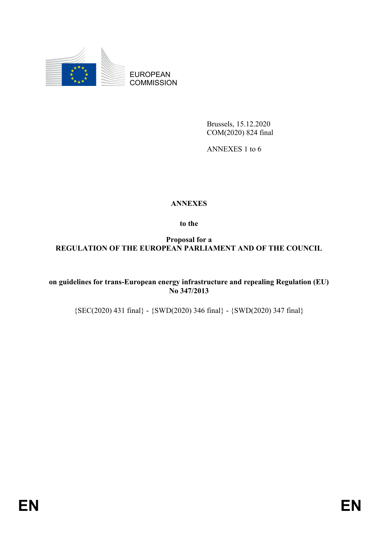

EUROPEAN **COMMISSION** 

> Brussels, 15.12.2020 COM(2020) 824 final

ANNEXES 1 to 6

# **ANNEXES**

**to the**

**Proposal for a REGULATION OF THE EUROPEAN PARLIAMENT AND OF THE COUNCIL**

**on guidelines for trans-European energy infrastructure and repealing Regulation (EU) No 347/2013**

{SEC(2020) 431 final} - {SWD(2020) 346 final} - {SWD(2020) 347 final}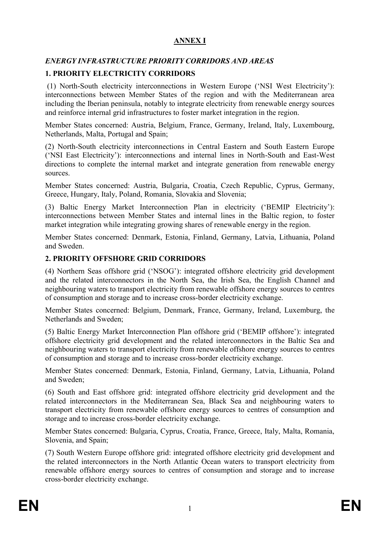# **ANNEX I**

# *ENERGY INFRASTRUCTURE PRIORITY CORRIDORS AND AREAS*

# **1. PRIORITY ELECTRICITY CORRIDORS**

(1) North-South electricity interconnections in Western Europe ('NSI West Electricity'): interconnections between Member States of the region and with the Mediterranean area including the Iberian peninsula, notably to integrate electricity from renewable energy sources and reinforce internal grid infrastructures to foster market integration in the region.

Member States concerned: Austria, Belgium, France, Germany, Ireland, Italy, Luxembourg, Netherlands, Malta, Portugal and Spain;

(2) North-South electricity interconnections in Central Eastern and South Eastern Europe ('NSI East Electricity'): interconnections and internal lines in North-South and East-West directions to complete the internal market and integrate generation from renewable energy sources.

Member States concerned: Austria, Bulgaria, Croatia, Czech Republic, Cyprus, Germany, Greece, Hungary, Italy, Poland, Romania, Slovakia and Slovenia;

(3) Baltic Energy Market Interconnection Plan in electricity ('BEMIP Electricity'): interconnections between Member States and internal lines in the Baltic region, to foster market integration while integrating growing shares of renewable energy in the region.

Member States concerned: Denmark, Estonia, Finland, Germany, Latvia, Lithuania, Poland and Sweden.

## **2. PRIORITY OFFSHORE GRID CORRIDORS**

(4) Northern Seas offshore grid ('NSOG'): integrated offshore electricity grid development and the related interconnectors in the North Sea, the Irish Sea, the English Channel and neighbouring waters to transport electricity from renewable offshore energy sources to centres of consumption and storage and to increase cross-border electricity exchange.

Member States concerned: Belgium, Denmark, France, Germany, Ireland, Luxemburg, the Netherlands and Sweden;

(5) Baltic Energy Market Interconnection Plan offshore grid ('BEMIP offshore'): integrated offshore electricity grid development and the related interconnectors in the Baltic Sea and neighbouring waters to transport electricity from renewable offshore energy sources to centres of consumption and storage and to increase cross-border electricity exchange.

Member States concerned: Denmark, Estonia, Finland, Germany, Latvia, Lithuania, Poland and Sweden;

(6) South and East offshore grid: integrated offshore electricity grid development and the related interconnectors in the Mediterranean Sea, Black Sea and neighbouring waters to transport electricity from renewable offshore energy sources to centres of consumption and storage and to increase cross-border electricity exchange.

Member States concerned: Bulgaria, Cyprus, Croatia, France, Greece, Italy, Malta, Romania, Slovenia, and Spain;

(7) South Western Europe offshore grid: integrated offshore electricity grid development and the related interconnectors in the North Atlantic Ocean waters to transport electricity from renewable offshore energy sources to centres of consumption and storage and to increase cross-border electricity exchange.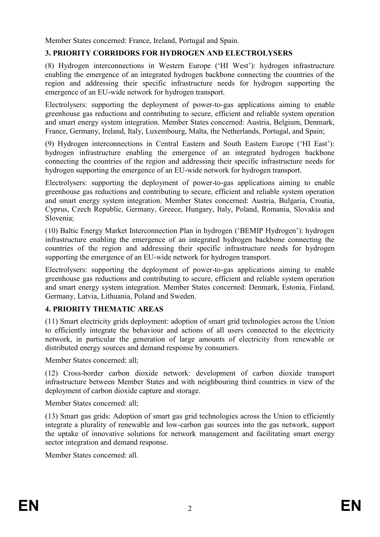Member States concerned: France, Ireland, Portugal and Spain.

## **3. PRIORITY CORRIDORS FOR HYDROGEN AND ELECTROLYSERS**

(8) Hydrogen interconnections in Western Europe ('HI West'): hydrogen infrastructure enabling the emergence of an integrated hydrogen backbone connecting the countries of the region and addressing their specific infrastructure needs for hydrogen supporting the emergence of an EU-wide network for hydrogen transport.

Electrolysers: supporting the deployment of power-to-gas applications aiming to enable greenhouse gas reductions and contributing to secure, efficient and reliable system operation and smart energy system integration. Member States concerned: Austria, Belgium, Denmark, France, Germany, Ireland, Italy, Luxembourg, Malta, the Netherlands, Portugal, and Spain;

(9) Hydrogen interconnections in Central Eastern and South Eastern Europe ('HI East'): hydrogen infrastructure enabling the emergence of an integrated hydrogen backbone connecting the countries of the region and addressing their specific infrastructure needs for hydrogen supporting the emergence of an EU-wide network for hydrogen transport.

Electrolysers: supporting the deployment of power-to-gas applications aiming to enable greenhouse gas reductions and contributing to secure, efficient and reliable system operation and smart energy system integration. Member States concerned: Austria, Bulgaria, Croatia, Cyprus, Czech Republic, Germany, Greece, Hungary, Italy, Poland, Romania, Slovakia and Slovenia;

(10) Baltic Energy Market Interconnection Plan in hydrogen ('BEMIP Hydrogen'): hydrogen infrastructure enabling the emergence of an integrated hydrogen backbone connecting the countries of the region and addressing their specific infrastructure needs for hydrogen supporting the emergence of an EU-wide network for hydrogen transport.

Electrolysers: supporting the deployment of power-to-gas applications aiming to enable greenhouse gas reductions and contributing to secure, efficient and reliable system operation and smart energy system integration. Member States concerned: Denmark, Estonia, Finland, Germany, Latvia, Lithuania, Poland and Sweden.

#### **4. PRIORITY THEMATIC AREAS**

(11) Smart electricity grids deployment: adoption of smart grid technologies across the Union to efficiently integrate the behaviour and actions of all users connected to the electricity network, in particular the generation of large amounts of electricity from renewable or distributed energy sources and demand response by consumers.

Member States concerned: all;

(12) Cross-border carbon dioxide network: development of carbon dioxide transport infrastructure between Member States and with neighbouring third countries in view of the deployment of carbon dioxide capture and storage.

Member States concerned: all;

(13) Smart gas grids: Adoption of smart gas grid technologies across the Union to efficiently integrate a plurality of renewable and low-carbon gas sources into the gas network, support the uptake of innovative solutions for network management and facilitating smart energy sector integration and demand response.

Member States concerned: all.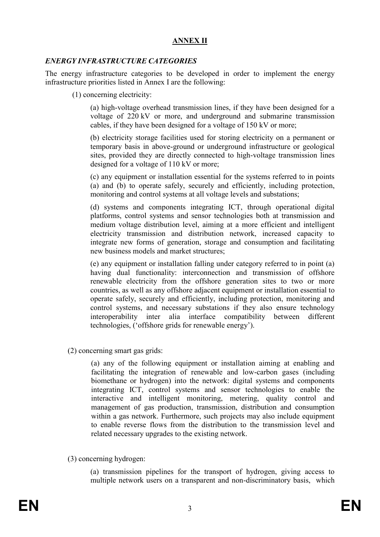#### **ANNEX II**

#### *ENERGY INFRASTRUCTURE CATEGORIES*

The energy infrastructure categories to be developed in order to implement the energy infrastructure priorities listed in Annex I are the following:

(1) concerning electricity:

(a) high-voltage overhead transmission lines, if they have been designed for a voltage of 220 kV or more, and underground and submarine transmission cables, if they have been designed for a voltage of 150 kV or more;

(b) electricity storage facilities used for storing electricity on a permanent or temporary basis in above-ground or underground infrastructure or geological sites, provided they are directly connected to high-voltage transmission lines designed for a voltage of 110 kV or more;

(c) any equipment or installation essential for the systems referred to in points (a) and (b) to operate safely, securely and efficiently, including protection, monitoring and control systems at all voltage levels and substations;

(d) systems and components integrating ICT, through operational digital platforms, control systems and sensor technologies both at transmission and medium voltage distribution level, aiming at a more efficient and intelligent electricity transmission and distribution network, increased capacity to integrate new forms of generation, storage and consumption and facilitating new business models and market structures;

(e) any equipment or installation falling under category referred to in point (a) having dual functionality: interconnection and transmission of offshore renewable electricity from the offshore generation sites to two or more countries, as well as any offshore adjacent equipment or installation essential to operate safely, securely and efficiently, including protection, monitoring and control systems, and necessary substations if they also ensure technology interoperability inter alia interface compatibility between different technologies, ('offshore grids for renewable energy').

(2) concerning smart gas grids:

(a) any of the following equipment or installation aiming at enabling and facilitating the integration of renewable and low-carbon gases (including biomethane or hydrogen) into the network: digital systems and components integrating ICT, control systems and sensor technologies to enable the interactive and intelligent monitoring, metering, quality control and management of gas production, transmission, distribution and consumption within a gas network. Furthermore, such projects may also include equipment to enable reverse flows from the distribution to the transmission level and related necessary upgrades to the existing network.

(3) concerning hydrogen:

(a) transmission pipelines for the transport of hydrogen, giving access to multiple network users on a transparent and non-discriminatory basis, which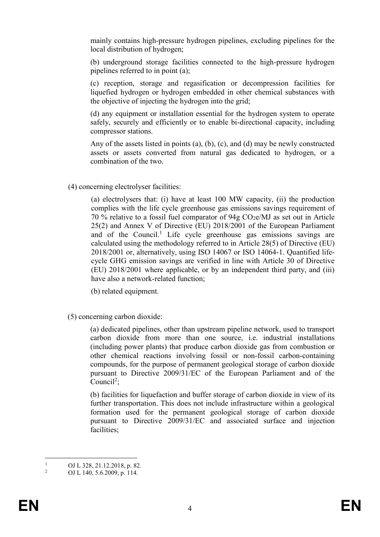mainly contains high-pressure hydrogen pipelines, excluding pipelines for the local distribution of hydrogen;

(b) underground storage facilities connected to the high-pressure hydrogen pipelines referred to in point (a);

(c) reception, storage and regasification or decompression facilities for liquefied hydrogen or hydrogen embedded in other chemical substances with the objective of injecting the hydrogen into the grid;

(d) any equipment or installation essential for the hydrogen system to operate safely, securely and efficiently or to enable bi-directional capacity, including compressor stations.

Any of the assets listed in points (a), (b), (c), and (d) may be newly constructed assets or assets converted from natural gas dedicated to hydrogen, or a combination of the two.

(4) concerning electrolyser facilities:

(a) electrolysers that: (i) have at least 100 MW capacity, (ii) the production complies with the life cycle greenhouse gas emissions savings requirement of 70 % relative to a fossil fuel comparator of  $94g$  CO<sub>2</sub>e/MJ as set out in Article 25(2) and Annex V of Directive (EU) 2018/2001 of the European Parliament and of the Council.<sup>1</sup> Life cycle greenhouse gas emissions savings are calculated using the methodology referred to in Article 28(5) of Directive (EU) 2018/2001 or, alternatively, using ISO 14067 or ISO 14064-1. Quantified lifecycle GHG emission savings are verified in line with Article 30 of Directive (EU) 2018/2001 where applicable, or by an independent third party, and (iii) have also a network-related function;

(b) related equipment.

(5) concerning carbon dioxide:

(a) dedicated pipelines, other than upstream pipeline network, used to transport carbon dioxide from more than one source, i.e. industrial installations (including power plants) that produce carbon dioxide gas from combustion or other chemical reactions involving fossil or non-fossil carbon-containing compounds, for the purpose of permanent geological storage of carbon dioxide pursuant to Directive 2009/31/EC of the European Parliament and of the Council<sup>2</sup>;

(b) facilities for liquefaction and buffer storage of carbon dioxide in view of its further transportation. This does not include infrastructure within a geological formation used for the permanent geological storage of carbon dioxide pursuant to Directive 2009/31/EC and associated surface and injection facilities;

 $\overline{1}$ <sup>1</sup> OJ L 328, 21.12.2018, p. 82.<br><sup>2</sup> OJ L 140, 5.6, 2000, p. 114.

<sup>2</sup> OJ L 140, 5.6.2009, p. 114.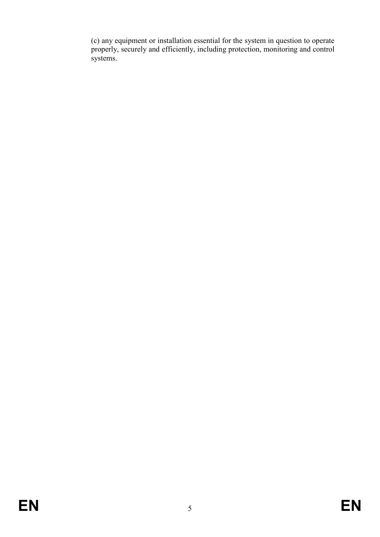(c) any equipment or installation essential for the system in question to operate properly, securely and efficiently, including protection, monitoring and control systems.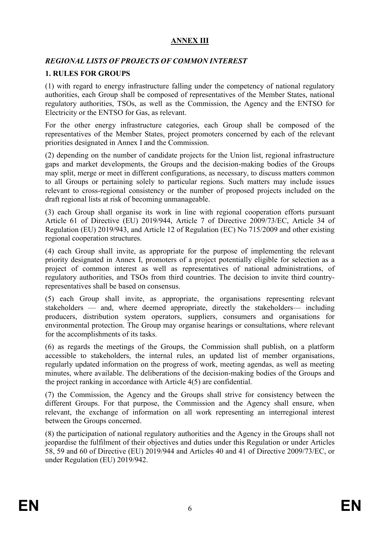# **ANNEX III**

# *REGIONAL LISTS OF PROJECTS OF COMMON INTEREST*

# **1. RULES FOR GROUPS**

(1) with regard to energy infrastructure falling under the competency of national regulatory authorities, each Group shall be composed of representatives of the Member States, national regulatory authorities, TSOs, as well as the Commission, the Agency and the ENTSO for Electricity or the ENTSO for Gas, as relevant.

For the other energy infrastructure categories, each Group shall be composed of the representatives of the Member States, project promoters concerned by each of the relevant priorities designated in Annex I and the Commission.

(2) depending on the number of candidate projects for the Union list, regional infrastructure gaps and market developments, the Groups and the decision-making bodies of the Groups may split, merge or meet in different configurations, as necessary, to discuss matters common to all Groups or pertaining solely to particular regions. Such matters may include issues relevant to cross-regional consistency or the number of proposed projects included on the draft regional lists at risk of becoming unmanageable.

(3) each Group shall organise its work in line with regional cooperation efforts pursuant Article 61 of Directive (EU) 2019/944, Article 7 of Directive 2009/73/EC, Article 34 of Regulation (EU) 2019/943, and Article 12 of Regulation (EC) No 715/2009 and other existing regional cooperation structures.

(4) each Group shall invite, as appropriate for the purpose of implementing the relevant priority designated in Annex I, promoters of a project potentially eligible for selection as a project of common interest as well as representatives of national administrations, of regulatory authorities, and TSOs from third countries. The decision to invite third countryrepresentatives shall be based on consensus.

(5) each Group shall invite, as appropriate, the organisations representing relevant stakeholders — and, where deemed appropriate, directly the stakeholders— including producers, distribution system operators, suppliers, consumers and organisations for environmental protection. The Group may organise hearings or consultations, where relevant for the accomplishments of its tasks.

(6) as regards the meetings of the Groups, the Commission shall publish, on a platform accessible to stakeholders, the internal rules, an updated list of member organisations, regularly updated information on the progress of work, meeting agendas, as well as meeting minutes, where available. The deliberations of the decision-making bodies of the Groups and the project ranking in accordance with Article 4(5) are confidential.

(7) the Commission, the Agency and the Groups shall strive for consistency between the different Groups. For that purpose, the Commission and the Agency shall ensure, when relevant, the exchange of information on all work representing an interregional interest between the Groups concerned.

(8) the participation of national regulatory authorities and the Agency in the Groups shall not jeopardise the fulfilment of their objectives and duties under this Regulation or under Articles 58, 59 and 60 of Directive (EU) 2019/944 and Articles 40 and 41 of Directive 2009/73/EC, or under Regulation (EU) 2019/942.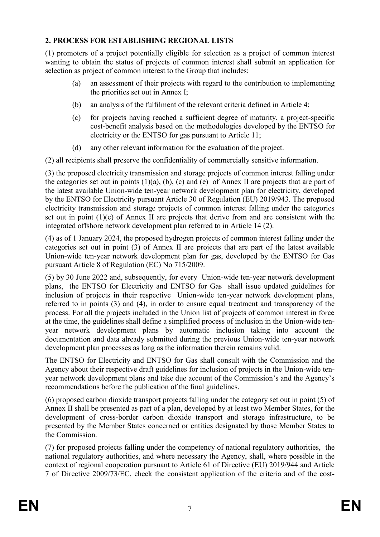# **2. PROCESS FOR ESTABLISHING REGIONAL LISTS**

(1) promoters of a project potentially eligible for selection as a project of common interest wanting to obtain the status of projects of common interest shall submit an application for selection as project of common interest to the Group that includes:

- (a) an assessment of their projects with regard to the contribution to implementing the priorities set out in Annex I;
- (b) an analysis of the fulfilment of the relevant criteria defined in Article 4;
- (c) for projects having reached a sufficient degree of maturity, a project-specific cost-benefit analysis based on the methodologies developed by the ENTSO for electricity or the ENTSO for gas pursuant to Article 11;
- (d) any other relevant information for the evaluation of the project.

(2) all recipients shall preserve the confidentiality of commercially sensitive information.

(3) the proposed electricity transmission and storage projects of common interest falling under the categories set out in points  $(1)(a)$ ,  $(b)$ ,  $(c)$  and  $(e)$  of Annex II are projects that are part of the latest available Union-wide ten-year network development plan for electricity, developed by the ENTSO for Electricity pursuant Article 30 of Regulation (EU) 2019/943. The proposed electricity transmission and storage projects of common interest falling under the categories set out in point (1)(e) of Annex II are projects that derive from and are consistent with the integrated offshore network development plan referred to in Article 14 (2).

(4) as of 1 January 2024, the proposed hydrogen projects of common interest falling under the categories set out in point (3) of Annex II are projects that are part of the latest available Union-wide ten-year network development plan for gas, developed by the ENTSO for Gas pursuant Article 8 of Regulation (EC) No 715/2009.

(5) by 30 June 2022 and, subsequently, for every Union-wide ten-year network development plans, the ENTSO for Electricity and ENTSO for Gas shall issue updated guidelines for inclusion of projects in their respective Union-wide ten-year network development plans, referred to in points (3) and (4), in order to ensure equal treatment and transparency of the process. For all the projects included in the Union list of projects of common interest in force at the time, the guidelines shall define a simplified process of inclusion in the Union-wide tenyear network development plans by automatic inclusion taking into account the documentation and data already submitted during the previous Union-wide ten-year network development plan processes as long as the information therein remains valid.

The ENTSO for Electricity and ENTSO for Gas shall consult with the Commission and the Agency about their respective draft guidelines for inclusion of projects in the Union-wide tenyear network development plans and take due account of the Commission's and the Agency's recommendations before the publication of the final guidelines.

(6) proposed carbon dioxide transport projects falling under the category set out in point (5) of Annex II shall be presented as part of a plan, developed by at least two Member States, for the development of cross-border carbon dioxide transport and storage infrastructure, to be presented by the Member States concerned or entities designated by those Member States to the Commission.

(7) for proposed projects falling under the competency of national regulatory authorities, the national regulatory authorities, and where necessary the Agency, shall, where possible in the context of regional cooperation pursuant to Article 61 of Directive (EU) 2019/944 and Article 7 of Directive 2009/73/EC, check the consistent application of the criteria and of the cost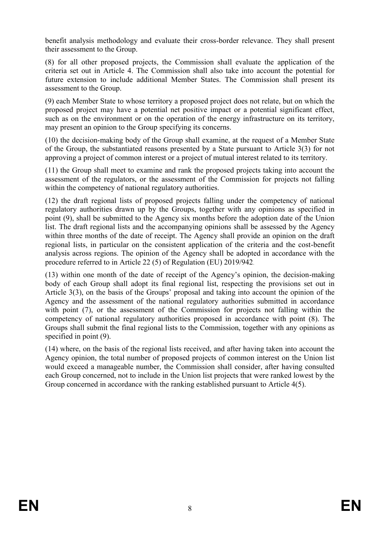benefit analysis methodology and evaluate their cross-border relevance. They shall present their assessment to the Group.

(8) for all other proposed projects, the Commission shall evaluate the application of the criteria set out in Article 4. The Commission shall also take into account the potential for future extension to include additional Member States. The Commission shall present its assessment to the Group.

(9) each Member State to whose territory a proposed project does not relate, but on which the proposed project may have a potential net positive impact or a potential significant effect, such as on the environment or on the operation of the energy infrastructure on its territory, may present an opinion to the Group specifying its concerns.

(10) the decision-making body of the Group shall examine, at the request of a Member State of the Group, the substantiated reasons presented by a State pursuant to Article 3(3) for not approving a project of common interest or a project of mutual interest related to its territory.

(11) the Group shall meet to examine and rank the proposed projects taking into account the assessment of the regulators, or the assessment of the Commission for projects not falling within the competency of national regulatory authorities.

(12) the draft regional lists of proposed projects falling under the competency of national regulatory authorities drawn up by the Groups, together with any opinions as specified in point (9), shall be submitted to the Agency six months before the adoption date of the Union list. The draft regional lists and the accompanying opinions shall be assessed by the Agency within three months of the date of receipt. The Agency shall provide an opinion on the draft regional lists, in particular on the consistent application of the criteria and the cost-benefit analysis across regions. The opinion of the Agency shall be adopted in accordance with the procedure referred to in Article 22 (5) of Regulation (EU) 2019/942.

(13) within one month of the date of receipt of the Agency's opinion, the decision-making body of each Group shall adopt its final regional list, respecting the provisions set out in Article 3(3), on the basis of the Groups' proposal and taking into account the opinion of the Agency and the assessment of the national regulatory authorities submitted in accordance with point (7), or the assessment of the Commission for projects not falling within the competency of national regulatory authorities proposed in accordance with point (8). The Groups shall submit the final regional lists to the Commission, together with any opinions as specified in point  $(9)$ .

(14) where, on the basis of the regional lists received, and after having taken into account the Agency opinion, the total number of proposed projects of common interest on the Union list would exceed a manageable number, the Commission shall consider, after having consulted each Group concerned, not to include in the Union list projects that were ranked lowest by the Group concerned in accordance with the ranking established pursuant to Article 4(5).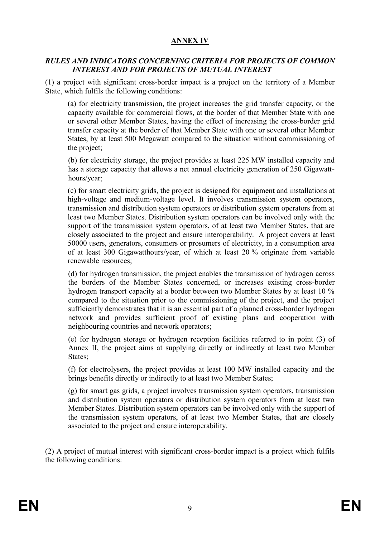# **ANNEX IV**

#### *RULES AND INDICATORS CONCERNING CRITERIA FOR PROJECTS OF COMMON INTEREST AND FOR PROJECTS OF MUTUAL INTEREST*

(1) a project with significant cross-border impact is a project on the territory of a Member State, which fulfils the following conditions:

(a) for electricity transmission, the project increases the grid transfer capacity, or the capacity available for commercial flows, at the border of that Member State with one or several other Member States, having the effect of increasing the cross-border grid transfer capacity at the border of that Member State with one or several other Member States, by at least 500 Megawatt compared to the situation without commissioning of the project;

(b) for electricity storage, the project provides at least 225 MW installed capacity and has a storage capacity that allows a net annual electricity generation of 250 Gigawatthours/year;

(c) for smart electricity grids, the project is designed for equipment and installations at high-voltage and medium-voltage level. It involves transmission system operators, transmission and distribution system operators or distribution system operators from at least two Member States. Distribution system operators can be involved only with the support of the transmission system operators, of at least two Member States, that are closely associated to the project and ensure interoperability. A project covers at least 50000 users, generators, consumers or prosumers of electricity, in a consumption area of at least 300 Gigawatthours/year, of which at least 20 % originate from variable renewable resources;

(d) for hydrogen transmission, the project enables the transmission of hydrogen across the borders of the Member States concerned, or increases existing cross-border hydrogen transport capacity at a border between two Member States by at least 10 % compared to the situation prior to the commissioning of the project, and the project sufficiently demonstrates that it is an essential part of a planned cross-border hydrogen network and provides sufficient proof of existing plans and cooperation with neighbouring countries and network operators;

(e) for hydrogen storage or hydrogen reception facilities referred to in point (3) of Annex II, the project aims at supplying directly or indirectly at least two Member States;

(f) for electrolysers, the project provides at least 100 MW installed capacity and the brings benefits directly or indirectly to at least two Member States;

(g) for smart gas grids, a project involves transmission system operators, transmission and distribution system operators or distribution system operators from at least two Member States. Distribution system operators can be involved only with the support of the transmission system operators, of at least two Member States, that are closely associated to the project and ensure interoperability.

(2) A project of mutual interest with significant cross-border impact is a project which fulfils the following conditions: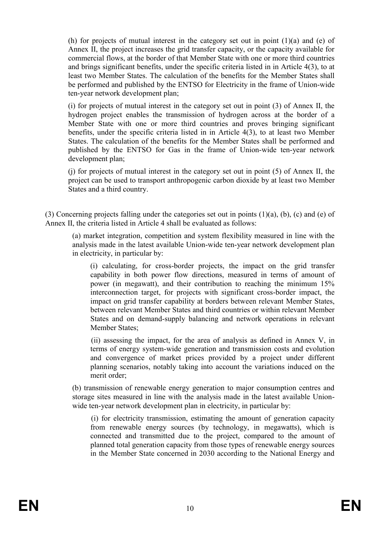(h) for projects of mutual interest in the category set out in point (1)(a) and (e) of Annex II, the project increases the grid transfer capacity, or the capacity available for commercial flows, at the border of that Member State with one or more third countries and brings significant benefits, under the specific criteria listed in in Article 4(3), to at least two Member States. The calculation of the benefits for the Member States shall be performed and published by the ENTSO for Electricity in the frame of Union-wide ten-year network development plan;

(i) for projects of mutual interest in the category set out in point (3) of Annex II, the hydrogen project enables the transmission of hydrogen across at the border of a Member State with one or more third countries and proves bringing significant benefits, under the specific criteria listed in in Article 4(3), to at least two Member States. The calculation of the benefits for the Member States shall be performed and published by the ENTSO for Gas in the frame of Union-wide ten-year network development plan;

(j) for projects of mutual interest in the category set out in point (5) of Annex II, the project can be used to transport anthropogenic carbon dioxide by at least two Member States and a third country.

(3) Concerning projects falling under the categories set out in points (1)(a), (b), (c) and (e) of Annex II, the criteria listed in Article 4 shall be evaluated as follows:

(a) market integration, competition and system flexibility measured in line with the analysis made in the latest available Union-wide ten-year network development plan in electricity, in particular by:

(i) calculating, for cross-border projects, the impact on the grid transfer capability in both power flow directions, measured in terms of amount of power (in megawatt), and their contribution to reaching the minimum 15% interconnection target, for projects with significant cross-border impact, the impact on grid transfer capability at borders between relevant Member States, between relevant Member States and third countries or within relevant Member States and on demand-supply balancing and network operations in relevant Member States;

(ii) assessing the impact, for the area of analysis as defined in Annex V, in terms of energy system-wide generation and transmission costs and evolution and convergence of market prices provided by a project under different planning scenarios, notably taking into account the variations induced on the merit order;

(b) transmission of renewable energy generation to major consumption centres and storage sites measured in line with the analysis made in the latest available Unionwide ten-year network development plan in electricity, in particular by:

(i) for electricity transmission, estimating the amount of generation capacity from renewable energy sources (by technology, in megawatts), which is connected and transmitted due to the project, compared to the amount of planned total generation capacity from those types of renewable energy sources in the Member State concerned in 2030 according to the National Energy and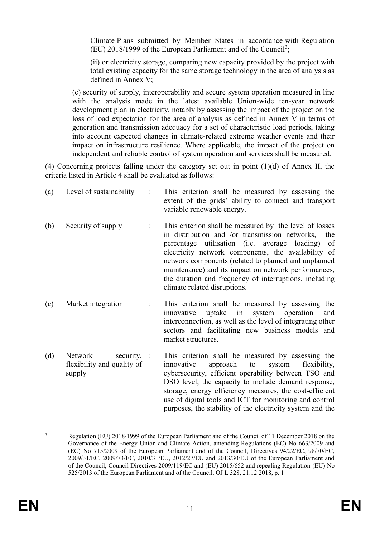Climate Plans submitted by Member States in accordance with Regulation  $(EU)$  2018/1999 of the European Parliament and of the Council<sup>3</sup>;

(ii) or electricity storage, comparing new capacity provided by the project with total existing capacity for the same storage technology in the area of analysis as defined in Annex V;

(c) security of supply, interoperability and secure system operation measured in line with the analysis made in the latest available Union-wide ten-year network development plan in electricity, notably by assessing the impact of the project on the loss of load expectation for the area of analysis as defined in Annex V in terms of generation and transmission adequacy for a set of characteristic load periods, taking into account expected changes in climate-related extreme weather events and their impact on infrastructure resilience. Where applicable, the impact of the project on independent and reliable control of system operation and services shall be measured.

(4) Concerning projects falling under the category set out in point (1)(d) of Annex II, the criteria listed in Article 4 shall be evaluated as follows:

| (a) | Level of sustainability<br>÷                                              | This criterion shall be measured by assessing the<br>extent of the grids' ability to connect and transport<br>variable renewable energy.                                                                                                                                                                                                                                                                                                 |
|-----|---------------------------------------------------------------------------|------------------------------------------------------------------------------------------------------------------------------------------------------------------------------------------------------------------------------------------------------------------------------------------------------------------------------------------------------------------------------------------------------------------------------------------|
| (b) | Security of supply                                                        | This criterion shall be measured by the level of losses<br>in distribution and /or transmission networks,<br>the<br>percentage utilisation (i.e. average loading)<br>of<br>electricity network components, the availability of<br>network components (related to planned and unplanned<br>maintenance) and its impact on network performances,<br>the duration and frequency of interruptions, including<br>climate related disruptions. |
| (c) | Market integration                                                        | This criterion shall be measured by assessing the<br>uptake<br>system<br>operation<br>innovative<br>in<br>and<br>interconnection, as well as the level of integrating other<br>sectors and facilitating new business models and<br>market structures.                                                                                                                                                                                    |
| (d) | Network<br>security, $\therefore$<br>flexibility and quality of<br>supply | This criterion shall be measured by assessing the<br>flexibility,<br>innovative<br>approach<br>to<br>system<br>cybersecurity, efficient operability between TSO and<br>DSO level, the capacity to include demand response,<br>storage, energy efficiency measures, the cost-efficient<br>use of digital tools and ICT for monitoring and control                                                                                         |

purposes, the stability of the electricity system and the

<sup>1</sup> <sup>3</sup> Regulation (EU) 2018/1999 of the European Parliament and of the Council of 11 December 2018 on the Governance of the Energy Union and Climate Action, amending Regulations (EC) No 663/2009 and (EC) No 715/2009 of the European Parliament and of the Council, Directives 94/22/EC, 98/70/EC, 2009/31/EC, 2009/73/EC, 2010/31/EU, 2012/27/EU and 2013/30/EU of the European Parliament and of the Council, Council Directives 2009/119/EC and (EU) 2015/652 and repealing Regulation (EU) No 525/2013 of the European Parliament and of the Council, OJ L 328, 21.12.2018, p. 1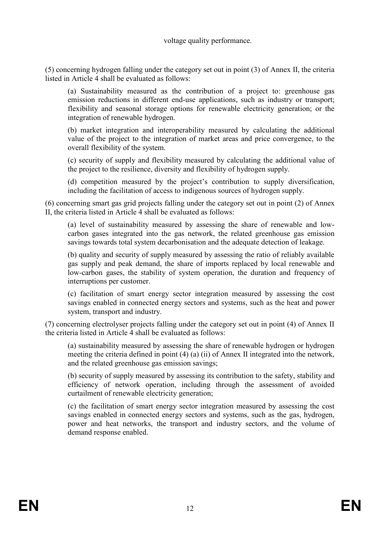#### voltage quality performance.

(5) concerning hydrogen falling under the category set out in point (3) of Annex II, the criteria listed in Article 4 shall be evaluated as follows:

(a) Sustainability measured as the contribution of a project to: greenhouse gas emission reductions in different end-use applications, such as industry or transport; flexibility and seasonal storage options for renewable electricity generation; or the integration of renewable hydrogen.

(b) market integration and interoperability measured by calculating the additional value of the project to the integration of market areas and price convergence, to the overall flexibility of the system.

(c) security of supply and flexibility measured by calculating the additional value of the project to the resilience, diversity and flexibility of hydrogen supply.

(d) competition measured by the project's contribution to supply diversification, including the facilitation of access to indigenous sources of hydrogen supply.

(6) concerning smart gas grid projects falling under the category set out in point (2) of Annex II, the criteria listed in Article 4 shall be evaluated as follows:

(a) level of sustainability measured by assessing the share of renewable and lowcarbon gases integrated into the gas network, the related greenhouse gas emission savings towards total system decarbonisation and the adequate detection of leakage.

(b) quality and security of supply measured by assessing the ratio of reliably available gas supply and peak demand, the share of imports replaced by local renewable and low-carbon gases, the stability of system operation, the duration and frequency of interruptions per customer.

(c) facilitation of smart energy sector integration measured by assessing the cost savings enabled in connected energy sectors and systems, such as the heat and power system, transport and industry.

(7) concerning electrolyser projects falling under the category set out in point (4) of Annex II the criteria listed in Article 4 shall be evaluated as follows:

(a) sustainability measured by assessing the share of renewable hydrogen or hydrogen meeting the criteria defined in point (4) (a) (ii) of Annex II integrated into the network, and the related greenhouse gas emission savings;

(b) security of supply measured by assessing its contribution to the safety, stability and efficiency of network operation, including through the assessment of avoided curtailment of renewable electricity generation;

(c) the facilitation of smart energy sector integration measured by assessing the cost savings enabled in connected energy sectors and systems, such as the gas, hydrogen, power and heat networks, the transport and industry sectors, and the volume of demand response enabled.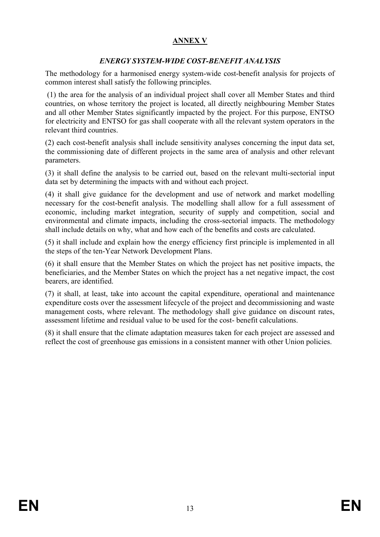# **ANNEX V**

## *ENERGY SYSTEM-WIDE COST-BENEFIT ANALYSIS*

The methodology for a harmonised energy system-wide cost-benefit analysis for projects of common interest shall satisfy the following principles.

(1) the area for the analysis of an individual project shall cover all Member States and third countries, on whose territory the project is located, all directly neighbouring Member States and all other Member States significantly impacted by the project. For this purpose, ENTSO for electricity and ENTSO for gas shall cooperate with all the relevant system operators in the relevant third countries.

(2) each cost-benefit analysis shall include sensitivity analyses concerning the input data set, the commissioning date of different projects in the same area of analysis and other relevant parameters.

(3) it shall define the analysis to be carried out, based on the relevant multi-sectorial input data set by determining the impacts with and without each project.

(4) it shall give guidance for the development and use of network and market modelling necessary for the cost-benefit analysis. The modelling shall allow for a full assessment of economic, including market integration, security of supply and competition, social and environmental and climate impacts, including the cross-sectorial impacts. The methodology shall include details on why, what and how each of the benefits and costs are calculated.

(5) it shall include and explain how the energy efficiency first principle is implemented in all the steps of the ten-Year Network Development Plans.

(6) it shall ensure that the Member States on which the project has net positive impacts, the beneficiaries, and the Member States on which the project has a net negative impact, the cost bearers, are identified.

(7) it shall, at least, take into account the capital expenditure, operational and maintenance expenditure costs over the assessment lifecycle of the project and decommissioning and waste management costs, where relevant. The methodology shall give guidance on discount rates, assessment lifetime and residual value to be used for the cost- benefit calculations.

(8) it shall ensure that the climate adaptation measures taken for each project are assessed and reflect the cost of greenhouse gas emissions in a consistent manner with other Union policies.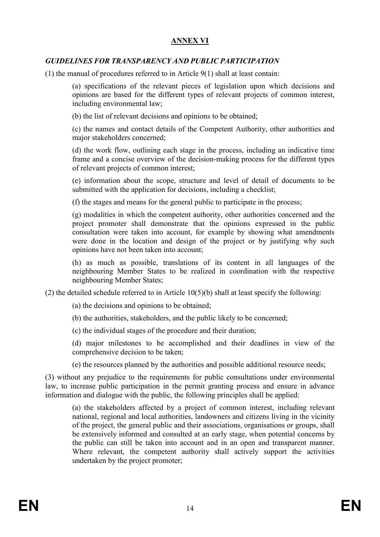# **ANNEX VI**

## *GUIDELINES FOR TRANSPARENCY AND PUBLIC PARTICIPATION*

(1) the manual of procedures referred to in Article 9(1) shall at least contain:

(a) specifications of the relevant pieces of legislation upon which decisions and opinions are based for the different types of relevant projects of common interest, including environmental law;

(b) the list of relevant decisions and opinions to be obtained;

(c) the names and contact details of the Competent Authority, other authorities and major stakeholders concerned;

(d) the work flow, outlining each stage in the process, including an indicative time frame and a concise overview of the decision-making process for the different types of relevant projects of common interest;

(e) information about the scope, structure and level of detail of documents to be submitted with the application for decisions, including a checklist;

(f) the stages and means for the general public to participate in the process;

(g) modalities in which the competent authority, other authorities concerned and the project promoter shall demonstrate that the opinions expressed in the public consultation were taken into account, for example by showing what amendments were done in the location and design of the project or by justifying why such opinions have not been taken into account;

(h) as much as possible, translations of its content in all languages of the neighbouring Member States to be realized in coordination with the respective neighbouring Member States;

(2) the detailed schedule referred to in Article  $10(5)(b)$  shall at least specify the following:

(a) the decisions and opinions to be obtained;

(b) the authorities, stakeholders, and the public likely to be concerned;

(c) the individual stages of the procedure and their duration;

(d) major milestones to be accomplished and their deadlines in view of the comprehensive decision to be taken;

(e) the resources planned by the authorities and possible additional resource needs;

(3) without any prejudice to the requirements for public consultations under environmental law, to increase public participation in the permit granting process and ensure in advance information and dialogue with the public, the following principles shall be applied:

(a) the stakeholders affected by a project of common interest, including relevant national, regional and local authorities, landowners and citizens living in the vicinity of the project, the general public and their associations, organisations or groups, shall be extensively informed and consulted at an early stage, when potential concerns by the public can still be taken into account and in an open and transparent manner. Where relevant, the competent authority shall actively support the activities undertaken by the project promoter;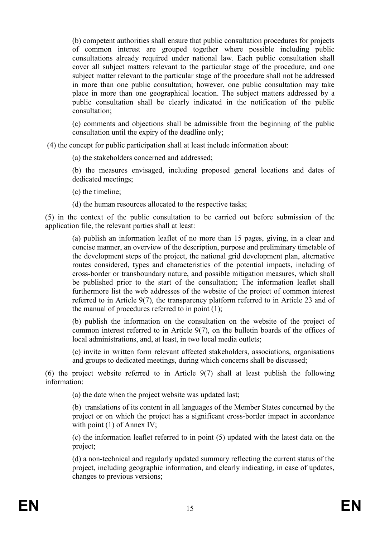(b) competent authorities shall ensure that public consultation procedures for projects of common interest are grouped together where possible including public consultations already required under national law. Each public consultation shall cover all subject matters relevant to the particular stage of the procedure, and one subject matter relevant to the particular stage of the procedure shall not be addressed in more than one public consultation; however, one public consultation may take place in more than one geographical location. The subject matters addressed by a public consultation shall be clearly indicated in the notification of the public consultation;

(c) comments and objections shall be admissible from the beginning of the public consultation until the expiry of the deadline only;

(4) the concept for public participation shall at least include information about:

(a) the stakeholders concerned and addressed;

(b) the measures envisaged, including proposed general locations and dates of dedicated meetings;

(c) the timeline;

(d) the human resources allocated to the respective tasks;

(5) in the context of the public consultation to be carried out before submission of the application file, the relevant parties shall at least:

(a) publish an information leaflet of no more than 15 pages, giving, in a clear and concise manner, an overview of the description, purpose and preliminary timetable of the development steps of the project, the national grid development plan, alternative routes considered, types and characteristics of the potential impacts, including of cross-border or transboundary nature, and possible mitigation measures, which shall be published prior to the start of the consultation; The information leaflet shall furthermore list the web addresses of the website of the project of common interest referred to in Article 9(7), the transparency platform referred to in Article 23 and of the manual of procedures referred to in point (1);

(b) publish the information on the consultation on the website of the project of common interest referred to in Article 9(7), on the bulletin boards of the offices of local administrations, and, at least, in two local media outlets;

(c) invite in written form relevant affected stakeholders, associations, organisations and groups to dedicated meetings, during which concerns shall be discussed;

(6) the project website referred to in Article 9(7) shall at least publish the following information:

(a) the date when the project website was updated last;

(b) translations of its content in all languages of the Member States concerned by the project or on which the project has a significant cross-border impact in accordance with point (1) of Annex IV;

(c) the information leaflet referred to in point (5) updated with the latest data on the project;

(d) a non-technical and regularly updated summary reflecting the current status of the project, including geographic information, and clearly indicating, in case of updates, changes to previous versions;